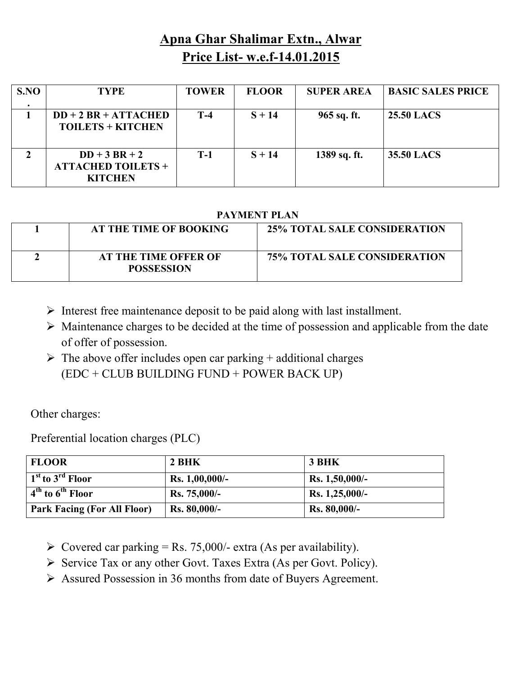# **Apna Ghar Shalimar Extn., Alwar Price List- w.e.f-14.01.2015**

| S.NO | <b>TYPE</b>                                                | <b>TOWER</b> | <b>FLOOR</b> | <b>SUPER AREA</b> | <b>BASIC SALES PRICE</b> |
|------|------------------------------------------------------------|--------------|--------------|-------------------|--------------------------|
|      | $DD + 2 BR + ATTACHED$<br><b>TOILETS + KITCHEN</b>         | $T-4$        | $S + 14$     | 965 sq. ft.       | <b>25.50 LACS</b>        |
|      | $DD+3 BR+2$<br><b>ATTACHED TOILETS +</b><br><b>KITCHEN</b> | $T-1$        | $S + 14$     | 1389 sq. ft.      | 35.50 LACS               |

### **PAYMENT PLAN**

| AT THE TIME OF BOOKING                           | <b>25% TOTAL SALE CONSIDERATION</b> |
|--------------------------------------------------|-------------------------------------|
| <b>AT THE TIME OFFER OF</b><br><b>POSSESSION</b> | <b>75% TOTAL SALE CONSIDERATION</b> |

- $\triangleright$  Interest free maintenance deposit to be paid along with last installment.
- $\triangleright$  Maintenance charges to be decided at the time of possession and applicable from the date of offer of possession.
- $\triangleright$  The above offer includes open car parking + additional charges (EDC + CLUB BUILDING FUND + POWER BACK UP)

Other charges:

Preferential location charges (PLC)

| <b>FLOOR</b>                                    | 2 BHK            | 3 BHK            |
|-------------------------------------------------|------------------|------------------|
| $\mid$ 1 <sup>st</sup> to 3 <sup>rd</sup> Floor | $Rs. 1,00,000/-$ | $Rs. 1,50,000/-$ |
| $\frac{4^{th}}{100}$ to $6^{th}$ Floor          | $Rs. 75,000/$ -  | $Rs. 1,25,000/-$ |
| <b>Park Facing (For All Floor)</b>              | $Rs. 80,000/-$   | Rs. 80,000/-     |

- $\triangleright$  Covered car parking = Rs. 75,000/- extra (As per availability).
- $\triangleright$  Service Tax or any other Govt. Taxes Extra (As per Govt. Policy).
- Assured Possession in 36 months from date of Buyers Agreement.